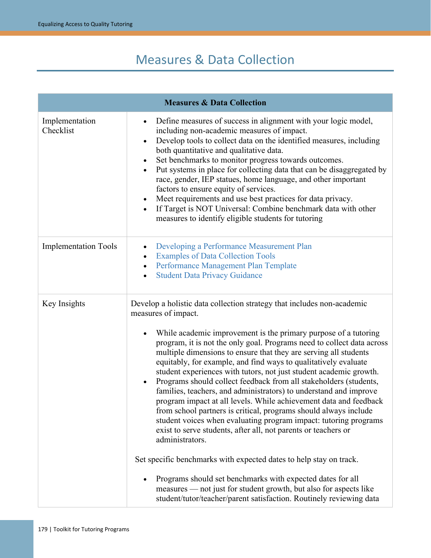# Measures & Data Collection

|                             | <b>Measures &amp; Data Collection</b>                                                                                                                                                                                                                                                                                                                                                                                                                                                                                                                                                                                                                                                                                                                                                                                                                                                                                                                                                                                                                                                                                                                                                                                      |
|-----------------------------|----------------------------------------------------------------------------------------------------------------------------------------------------------------------------------------------------------------------------------------------------------------------------------------------------------------------------------------------------------------------------------------------------------------------------------------------------------------------------------------------------------------------------------------------------------------------------------------------------------------------------------------------------------------------------------------------------------------------------------------------------------------------------------------------------------------------------------------------------------------------------------------------------------------------------------------------------------------------------------------------------------------------------------------------------------------------------------------------------------------------------------------------------------------------------------------------------------------------------|
| Implementation<br>Checklist | Define measures of success in alignment with your logic model,<br>٠<br>including non-academic measures of impact.<br>Develop tools to collect data on the identified measures, including<br>٠<br>both quantitative and qualitative data.<br>Set benchmarks to monitor progress towards outcomes.<br>Put systems in place for collecting data that can be disaggregated by<br>$\bullet$<br>race, gender, IEP statues, home language, and other important<br>factors to ensure equity of services.<br>Meet requirements and use best practices for data privacy.<br>$\bullet$<br>If Target is NOT Universal: Combine benchmark data with other<br>$\bullet$<br>measures to identify eligible students for tutoring                                                                                                                                                                                                                                                                                                                                                                                                                                                                                                           |
| <b>Implementation Tools</b> | Developing a Performance Measurement Plan<br>$\bullet$<br><b>Examples of Data Collection Tools</b><br>Performance Management Plan Template<br><b>Student Data Privacy Guidance</b>                                                                                                                                                                                                                                                                                                                                                                                                                                                                                                                                                                                                                                                                                                                                                                                                                                                                                                                                                                                                                                         |
| Key Insights                | Develop a holistic data collection strategy that includes non-academic<br>measures of impact.<br>While academic improvement is the primary purpose of a tutoring<br>$\bullet$<br>program, it is not the only goal. Programs need to collect data across<br>multiple dimensions to ensure that they are serving all students<br>equitably, for example, and find ways to qualitatively evaluate<br>student experiences with tutors, not just student academic growth.<br>Programs should collect feedback from all stakeholders (students,<br>$\bullet$<br>families, teachers, and administrators) to understand and improve<br>program impact at all levels. While achievement data and feedback<br>from school partners is critical, programs should always include<br>student voices when evaluating program impact: tutoring programs<br>exist to serve students, after all, not parents or teachers or<br>administrators.<br>Set specific benchmarks with expected dates to help stay on track.<br>Programs should set benchmarks with expected dates for all<br>$\bullet$<br>measures — not just for student growth, but also for aspects like<br>student/tutor/teacher/parent satisfaction. Routinely reviewing data |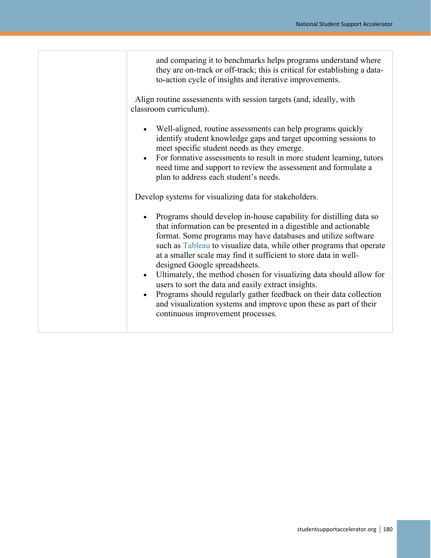and comparing it to benchmarks helps programs understand where they are on-track or off-track; this is critical for establishing a datato-action cycle of insights and iterative improvements.

Align routine assessments with session targets (and, ideally, with classroom curriculum).

- Well-aligned, routine assessments can help programs quickly identify student knowledge gaps and target upcoming sessions to meet specific student needs as they emerge.
- For formative assessments to result in more student learning, tutors need time and support to review the assessment and formulate a plan to address each student's needs.

Develop systems for visualizing data for stakeholders.

- Programs should develop in-house capability for distilling data so that information can be presented in a digestible and actionable format. Some programs may have databases and utilize software such as [Tableau](https://www.tableau.com/) to visualize data, while other programs that operate at a smaller scale may find it sufficient to store data in welldesigned Google spreadsheets.
- Ultimately, the method chosen for visualizing data should allow for users to sort the data and easily extract insights.
- Programs should regularly gather feedback on their data collection and visualization systems and improve upon these as part of their continuous improvement processes.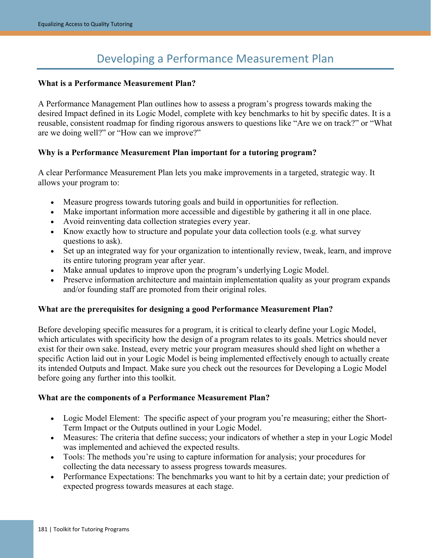# Developing a Performance Measurement Plan

#### <span id="page-2-0"></span>**What is a Performance Measurement Plan?**

A Performance Management Plan outlines how to assess a program's progress towards making the desired Impact defined in its Logic Model, complete with key benchmarks to hit by specific dates. It is a reusable, consistent roadmap for finding rigorous answers to questions like "Are we on track?" or "What are we doing well?" or "How can we improve?"

#### **Why is a Performance Measurement Plan important for a tutoring program?**

A clear Performance Measurement Plan lets you make improvements in a targeted, strategic way. It allows your program to:

- Measure progress towards tutoring goals and build in opportunities for reflection.
- Make important information more accessible and digestible by gathering it all in one place.
- Avoid reinventing data collection strategies every year.
- Know exactly how to structure and populate your data collection tools (e.g. what survey questions to ask).
- Set up an integrated way for your organization to intentionally review, tweak, learn, and improve its entire tutoring program year after year.
- Make annual updates to improve upon the program's underlying Logic Model.
- Preserve information architecture and maintain implementation quality as your program expands and/or founding staff are promoted from their original roles.

#### **What are the prerequisites for designing a good Performance Measurement Plan?**

Before developing specific measures for a program, it is critical to clearly define your Logic Model, which articulates with specificity how the design of a program relates to its goals. Metrics should never exist for their own sake. Instead, every metric your program measures should shed light on whether a specific Action laid out in your Logic Model is being implemented effectively enough to actually create its intended Outputs and Impact. Make sure you check out the resources for Developing a Logic Model before going any further into this toolkit.

#### **What are the components of a Performance Measurement Plan?**

- Logic Model Element: The specific aspect of your program you're measuring; either the Short-Term Impact or the Outputs outlined in your Logic Model.
- Measures: The criteria that define success; your indicators of whether a step in your Logic Model was implemented and achieved the expected results.
- Tools: The methods you're using to capture information for analysis; your procedures for collecting the data necessary to assess progress towards measures.
- Performance Expectations: The benchmarks you want to hit by a certain date; your prediction of expected progress towards measures at each stage.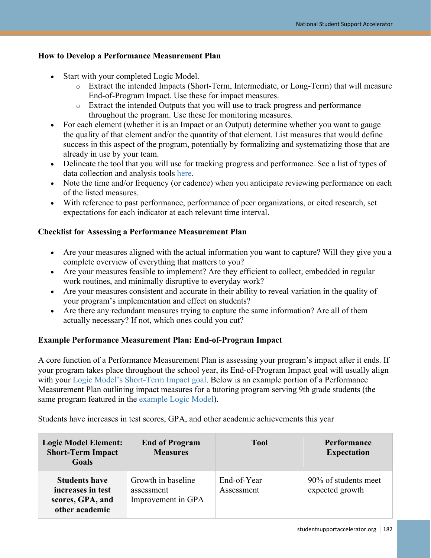#### **How to Develop a Performance Measurement Plan**

- Start with your completed Logic Model.
	- o Extract the intended Impacts (Short-Term, Intermediate, or Long-Term) that will measure End-of-Program Impact. Use these for impact measures.
	- o Extract the intended Outputs that you will use to track progress and performance throughout the program. Use these for monitoring measures.
- For each element (whether it is an Impact or an Output) determine whether you want to gauge the quality of that element and/or the quantity of that element. List measures that would define success in this aspect of the program, potentially by formalizing and systematizing those that are already in use by your team.
- Delineate the tool that you will use for tracking progress and performance. See a list of types of data collection and analysis tools [here.](https://studentsupportaccelerator.org/tutoring/examples-data-collection-tools)
- Note the time and/or frequency (or cadence) when you anticipate reviewing performance on each of the listed measures.
- With reference to past performance, performance of peer organizations, or cited research, set expectations for each indicator at each relevant time interval.

#### **Checklist for Assessing a Performance Measurement Plan**

- Are your measures aligned with the actual information you want to capture? Will they give you a complete overview of everything that matters to you?
- Are your measures feasible to implement? Are they efficient to collect, embedded in regular work routines, and minimally disruptive to everyday work?
- Are your measures consistent and accurate in their ability to reveal variation in the quality of your program's implementation and effect on students?
- Are there any redundant measures trying to capture the same information? Are all of them actually necessary? If not, which ones could you cut?

#### **Example Performance Measurement Plan: End-of-Program Impact**

A core function of a Performance Measurement Plan is assessing your program's impact after it ends. If your program takes place throughout the school year, its End-of-Program Impact goal will usually align with your [Logic Model's Short-Term Impact goal.](https://studentsupportaccelerator.org/tutoring/logic-model-guidance-and-template) Below is an example portion of a Performance Measurement Plan outlining impact measures for a tutoring program serving 9th grade students (the same program featured in the [example Logic Model\)](https://studentsupportaccelerator.org/tutoring/logic-model-guidance-and-template#example-logic-model).

Students have increases in test scores, GPA, and other academic achievements this year

| <b>Logic Model Element:</b><br><b>Short-Term Impact</b><br>Goals                | <b>End of Program</b><br><b>Measures</b>               | <b>Tool</b>               | Performance<br><b>Expectation</b>       |
|---------------------------------------------------------------------------------|--------------------------------------------------------|---------------------------|-----------------------------------------|
| <b>Students have</b><br>increases in test<br>scores, GPA, and<br>other academic | Growth in baseline<br>assessment<br>Improvement in GPA | End-of-Year<br>Assessment | 90% of students meet<br>expected growth |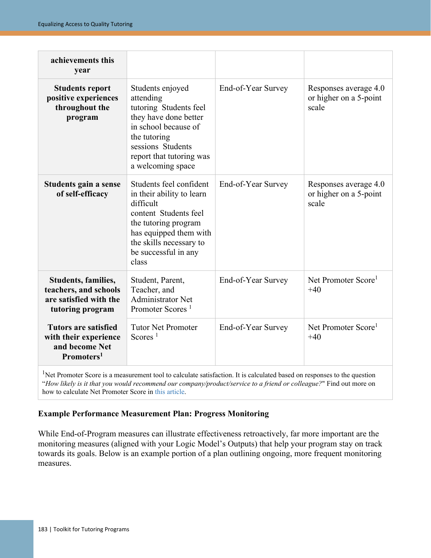| achievements this<br>vear                                                                        |                                                                                                                                                                                                          |                    |                                                          |
|--------------------------------------------------------------------------------------------------|----------------------------------------------------------------------------------------------------------------------------------------------------------------------------------------------------------|--------------------|----------------------------------------------------------|
| <b>Students report</b><br>positive experiences<br>throughout the<br>program                      | Students enjoyed<br>attending<br>tutoring Students feel<br>they have done better<br>in school because of<br>the tutoring<br>sessions Students<br>report that tutoring was<br>a welcoming space           | End-of-Year Survey | Responses average 4.0<br>or higher on a 5-point<br>scale |
| Students gain a sense<br>of self-efficacy                                                        | Students feel confident<br>in their ability to learn<br>difficult<br>content Students feel<br>the tutoring program<br>has equipped them with<br>the skills necessary to<br>be successful in any<br>class | End-of-Year Survey | Responses average 4.0<br>or higher on a 5-point<br>scale |
| Students, families,<br>teachers, and schools<br>are satisfied with the<br>tutoring program       | Student, Parent,<br>Teacher, and<br><b>Administrator Net</b><br>Promoter Scores <sup>1</sup>                                                                                                             | End-of-Year Survey | Net Promoter Score <sup>1</sup><br>$+40$                 |
| <b>Tutors are satisfied</b><br>with their experience<br>and become Net<br>Promoters <sup>1</sup> | <b>Tutor Net Promoter</b><br>Scores <sup>1</sup>                                                                                                                                                         | End-of-Year Survey | Net Promoter Score <sup>1</sup><br>$+40$                 |

<sup>1</sup>Net Promoter Score is a measurement tool to calculate satisfaction. It is calculated based on responses to the question "*How likely is it that you would recommend our company/product/service to a friend or colleague?*" Find out more on how to calculate Net Promoter Score in [this article.](https://www.qualtrics.com/experience-management/customer/net-promoter-score/)

#### **Example Performance Measurement Plan: Progress Monitoring**

While End-of-Program measures can illustrate effectiveness retroactively, far more important are the monitoring measures (aligned with your Logic Model's Outputs) that help your program stay on track towards its goals. Below is an example portion of a plan outlining ongoing, more frequent monitoring measures.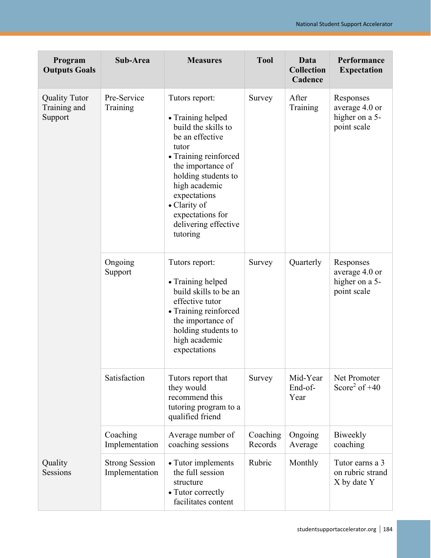| Program<br><b>Outputs Goals</b>                 | Sub-Area                                | <b>Measures</b>                                                                                                                                                                                                                                                      | <b>Tool</b>         | Data<br><b>Collection</b><br>Cadence | Performance<br><b>Expectation</b>                            |
|-------------------------------------------------|-----------------------------------------|----------------------------------------------------------------------------------------------------------------------------------------------------------------------------------------------------------------------------------------------------------------------|---------------------|--------------------------------------|--------------------------------------------------------------|
| <b>Quality Tutor</b><br>Training and<br>Support | Pre-Service<br>Training                 | Tutors report:<br>• Training helped<br>build the skills to<br>be an effective<br>tutor<br>• Training reinforced<br>the importance of<br>holding students to<br>high academic<br>expectations<br>• Clarity of<br>expectations for<br>delivering effective<br>tutoring | Survey              | After<br>Training                    | Responses<br>average 4.0 or<br>higher on a 5-<br>point scale |
|                                                 | Ongoing<br>Support                      | Tutors report:<br>• Training helped<br>build skills to be an<br>effective tutor<br>• Training reinforced<br>the importance of<br>holding students to<br>high academic<br>expectations                                                                                | Survey              | Quarterly                            | Responses<br>average 4.0 or<br>higher on a 5-<br>point scale |
|                                                 | Satisfaction                            | Tutors report that<br>they would<br>recommend this<br>tutoring program to a<br>qualified friend                                                                                                                                                                      | Survey              | Mid-Year<br>End-of-<br>Year          | Net Promoter<br>Score <sup>2</sup> of $+40$                  |
|                                                 | Coaching<br>Implementation              | Average number of<br>coaching sessions                                                                                                                                                                                                                               | Coaching<br>Records | Ongoing<br>Average                   | Biweekly<br>coaching                                         |
| Quality<br>Sessions                             | <b>Strong Session</b><br>Implementation | • Tutor implements<br>the full session<br>structure<br>• Tutor correctly<br>facilitates content                                                                                                                                                                      | Rubric              | Monthly                              | Tutor earns a 3<br>on rubric strand<br>X by date Y           |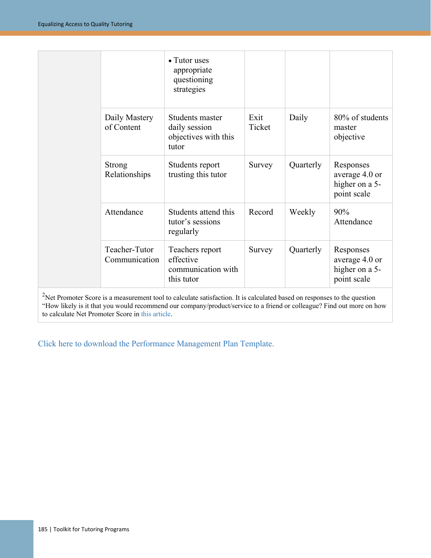|                                | • Tutor uses<br>appropriate<br>questioning<br>strategies          |                |           |                                                              |
|--------------------------------|-------------------------------------------------------------------|----------------|-----------|--------------------------------------------------------------|
| Daily Mastery<br>of Content    | Students master<br>daily session<br>objectives with this<br>tutor | Exit<br>Ticket | Daily     | 80% of students<br>master<br>objective                       |
| <b>Strong</b><br>Relationships | Students report<br>trusting this tutor                            | Survey         | Quarterly | Responses<br>average 4.0 or<br>higher on a 5-<br>point scale |
| Attendance                     | Students attend this<br>tutor's sessions<br>regularly             | Record         | Weekly    | 90%<br>Attendance                                            |
| Teacher-Tutor<br>Communication | Teachers report<br>effective<br>communication with<br>this tutor  | Survey         | Quarterly | Responses<br>average 4.0 or<br>higher on a 5-<br>point scale |

 $2$ Net Promoter Score is a measurement tool to calculate satisfaction. It is calculated based on responses to the question "How likely is it that you would recommend our company/product/service to a friend or colleague? Find out more on how to calculate Net Promoter Score i[n this article.](https://www.qualtrics.com/experience-management/customer/net-promoter-score/)

[Click here to download the Performance Management Plan Template.](https://studentsupportaccelerator.org/sites/default/files/Performance%20Measurement%20Plan%20Template%20-%20Template.pdf)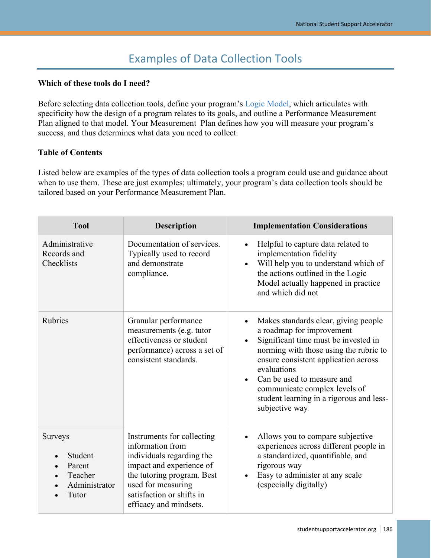# Examples of Data Collection Tools

#### <span id="page-7-0"></span>**Which of these tools do I need?**

Before selecting data collection tools, define your program's [Logic Model,](https://studentsupportaccelerator.org/tutoring/logic-model-guidance-and-template) which articulates with specificity how the design of a program relates to its goals, and outline a Performance Measurement Plan aligned to that model. Your Measurement Plan defines how you will measure your program's success, and thus determines what data you need to collect.

#### **Table of Contents**

Listed below are examples of the types of data collection tools a program could use and guidance about when to use them. These are just examples; ultimately, your program's data collection tools should be tailored based on your Performance Measurement Plan.

| <b>Tool</b>                                                                           | <b>Description</b>                                                                                                                                                                                                 | <b>Implementation Considerations</b>                                                                                                                                                                                                                                                                                                                                           |
|---------------------------------------------------------------------------------------|--------------------------------------------------------------------------------------------------------------------------------------------------------------------------------------------------------------------|--------------------------------------------------------------------------------------------------------------------------------------------------------------------------------------------------------------------------------------------------------------------------------------------------------------------------------------------------------------------------------|
| Administrative<br>Records and<br>Checklists                                           | Documentation of services.<br>Typically used to record<br>and demonstrate<br>compliance.                                                                                                                           | Helpful to capture data related to<br>implementation fidelity<br>Will help you to understand which of<br>the actions outlined in the Logic<br>Model actually happened in practice<br>and which did not                                                                                                                                                                         |
| <b>Rubrics</b>                                                                        | Granular performance<br>measurements (e.g. tutor<br>effectiveness or student<br>performance) across a set of<br>consistent standards.                                                                              | Makes standards clear, giving people<br>$\bullet$<br>a roadmap for improvement<br>Significant time must be invested in<br>$\bullet$<br>norming with those using the rubric to<br>ensure consistent application across<br>evaluations<br>Can be used to measure and<br>$\bullet$<br>communicate complex levels of<br>student learning in a rigorous and less-<br>subjective way |
| <b>Surveys</b><br>Student<br>Parent<br>$\bullet$<br>Teacher<br>Administrator<br>Tutor | Instruments for collecting<br>information from<br>individuals regarding the<br>impact and experience of<br>the tutoring program. Best<br>used for measuring<br>satisfaction or shifts in<br>efficacy and mindsets. | Allows you to compare subjective<br>experiences across different people in<br>a standardized, quantifiable, and<br>rigorous way<br>Easy to administer at any scale<br>(especially digitally)                                                                                                                                                                                   |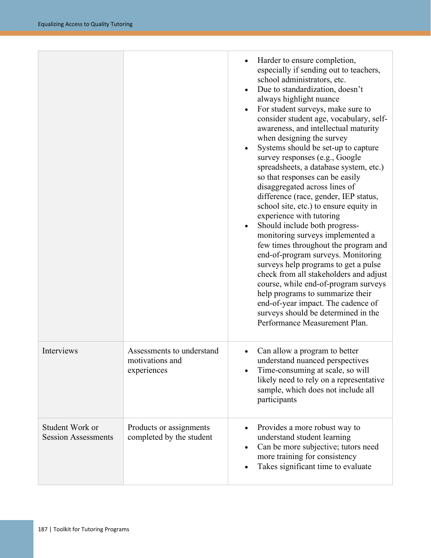|                                               |                                                             | Harder to ensure completion,<br>especially if sending out to teachers,<br>school administrators, etc.<br>Due to standardization, doesn't<br>always highlight nuance<br>For student surveys, make sure to<br>consider student age, vocabulary, self-<br>awareness, and intellectual maturity<br>when designing the survey<br>Systems should be set-up to capture<br>survey responses (e.g., Google<br>spreadsheets, a database system, etc.)<br>so that responses can be easily<br>disaggregated across lines of<br>difference (race, gender, IEP status,<br>school site, etc.) to ensure equity in<br>experience with tutoring<br>Should include both progress-<br>monitoring surveys implemented a<br>few times throughout the program and<br>end-of-program surveys. Monitoring<br>surveys help programs to get a pulse<br>check from all stakeholders and adjust<br>course, while end-of-program surveys<br>help programs to summarize their<br>end-of-year impact. The cadence of<br>surveys should be determined in the<br>Performance Measurement Plan. |
|-----------------------------------------------|-------------------------------------------------------------|---------------------------------------------------------------------------------------------------------------------------------------------------------------------------------------------------------------------------------------------------------------------------------------------------------------------------------------------------------------------------------------------------------------------------------------------------------------------------------------------------------------------------------------------------------------------------------------------------------------------------------------------------------------------------------------------------------------------------------------------------------------------------------------------------------------------------------------------------------------------------------------------------------------------------------------------------------------------------------------------------------------------------------------------------------------|
| Interviews                                    | Assessments to understand<br>motivations and<br>experiences | Can allow a program to better<br>understand nuanced perspectives<br>Time-consuming at scale, so will<br>likely need to rely on a representative<br>sample, which does not include all<br>participants                                                                                                                                                                                                                                                                                                                                                                                                                                                                                                                                                                                                                                                                                                                                                                                                                                                         |
| Student Work or<br><b>Session Assessments</b> | Products or assignments<br>completed by the student         | Provides a more robust way to<br>understand student learning<br>Can be more subjective; tutors need<br>more training for consistency<br>Takes significant time to evaluate                                                                                                                                                                                                                                                                                                                                                                                                                                                                                                                                                                                                                                                                                                                                                                                                                                                                                    |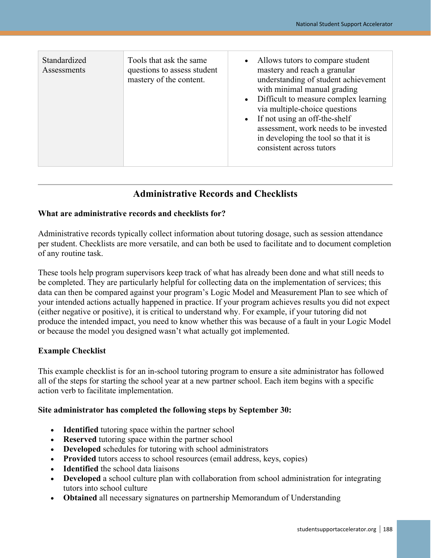| Standardized<br>Assessments | Tools that ask the same<br>questions to assess student<br>mastery of the content. | Allows tutors to compare student<br>$\bullet$<br>mastery and reach a granular<br>understanding of student achievement<br>with minimal manual grading<br>Difficult to measure complex learning<br>$\bullet$<br>via multiple-choice questions<br>If not using an off-the-shelf<br>$\bullet$<br>assessment, work needs to be invested<br>in developing the tool so that it is<br>consistent across tutors |
|-----------------------------|-----------------------------------------------------------------------------------|--------------------------------------------------------------------------------------------------------------------------------------------------------------------------------------------------------------------------------------------------------------------------------------------------------------------------------------------------------------------------------------------------------|
|-----------------------------|-----------------------------------------------------------------------------------|--------------------------------------------------------------------------------------------------------------------------------------------------------------------------------------------------------------------------------------------------------------------------------------------------------------------------------------------------------------------------------------------------------|

## **Administrative Records and Checklists**

#### **What are administrative records and checklists for?**

Administrative records typically collect information about tutoring dosage, such as session attendance per student. Checklists are more versatile, and can both be used to facilitate and to document completion of any routine task.

These tools help program supervisors keep track of what has already been done and what still needs to be completed. They are particularly helpful for collecting data on the implementation of services; this data can then be compared against your program's Logic Model and Measurement Plan to see which of your intended actions actually happened in practice. If your program achieves results you did not expect (either negative or positive), it is critical to understand why. For example, if your tutoring did not produce the intended impact, you need to know whether this was because of a fault in your Logic Model or because the model you designed wasn't what actually got implemented.

#### **Example Checklist**

This example checklist is for an in-school tutoring program to ensure a site administrator has followed all of the steps for starting the school year at a new partner school. Each item begins with a specific action verb to facilitate implementation.

#### **Site administrator has completed the following steps by September 30:**

- **Identified** tutoring space within the partner school
- **Reserved** tutoring space within the partner school
- **Developed** schedules for tutoring with school administrators
- **Provided** tutors access to school resources (email address, keys, copies)
- **Identified** the school data liaisons
- **Developed** a school culture plan with collaboration from school administration for integrating tutors into school culture
- **Obtained** all necessary signatures on partnership Memorandum of Understanding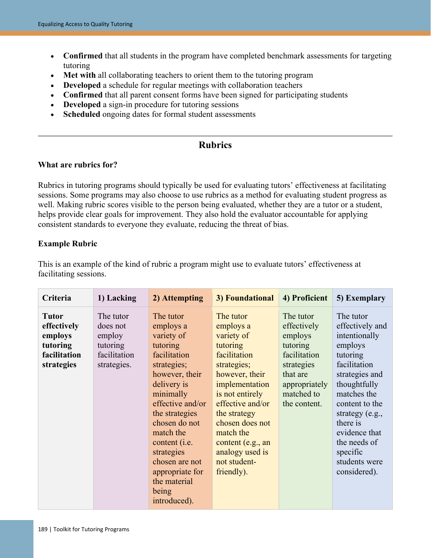- **Confirmed** that all students in the program have completed benchmark assessments for targeting tutoring
- **Met with** all collaborating teachers to orient them to the tutoring program
- **Developed** a schedule for regular meetings with collaboration teachers
- **Confirmed** that all parent consent forms have been signed for participating students
- **Developed** a sign-in procedure for tutoring sessions
- **Scheduled** ongoing dates for formal student assessments

## **Rubrics**

#### **What are rubrics for?**

Rubrics in tutoring programs should typically be used for evaluating tutors' effectiveness at facilitating sessions. Some programs may also choose to use rubrics as a method for evaluating student progress as well. Making rubric scores visible to the person being evaluated, whether they are a tutor or a student, helps provide clear goals for improvement. They also hold the evaluator accountable for applying consistent standards to everyone they evaluate, reducing the threat of bias.

#### **Example Rubric**

This is an example of the kind of rubric a program might use to evaluate tutors' effectiveness at facilitating sessions.

| Criteria                                                                         | 1) Lacking                                                                 | 2) Attempting                                                                                                                                                                                                                                                                                                          | 3) Foundational                                                                                                                                                                                                                                                                  | 4) Proficient                                                                                                                            | 5) Exemplary                                                                                                                                                                                                                                                         |
|----------------------------------------------------------------------------------|----------------------------------------------------------------------------|------------------------------------------------------------------------------------------------------------------------------------------------------------------------------------------------------------------------------------------------------------------------------------------------------------------------|----------------------------------------------------------------------------------------------------------------------------------------------------------------------------------------------------------------------------------------------------------------------------------|------------------------------------------------------------------------------------------------------------------------------------------|----------------------------------------------------------------------------------------------------------------------------------------------------------------------------------------------------------------------------------------------------------------------|
| <b>Tutor</b><br>effectively<br>employs<br>tutoring<br>facilitation<br>strategies | The tutor<br>does not<br>employ<br>tutoring<br>facilitation<br>strategies. | The tutor<br>employs a<br>variety of<br>tutoring<br>facilitation<br>strategies;<br>however, their<br>delivery is<br>minimally<br>effective and/or<br>the strategies<br>chosen do not<br>match the<br>content ( <i>i.e.</i><br>strategies<br>chosen are not<br>appropriate for<br>the material<br>being<br>introduced). | The tutor<br>employs a<br>variety of<br>tutoring<br>facilitation<br>strategies;<br>however, their<br>implementation<br>is not entirely<br>effective and/or<br>the strategy<br>chosen does not<br>match the<br>content (e.g., an<br>analogy used is<br>not student-<br>friendly). | The tutor<br>effectively<br>employs<br>tutoring<br>facilitation<br>strategies<br>that are<br>appropriately<br>matched to<br>the content. | The tutor<br>effectively and<br>intentionally<br>employs<br>tutoring<br>facilitation<br>strategies and<br>thoughtfully<br>matches the<br>content to the<br>strategy (e.g.,<br>there is<br>evidence that<br>the needs of<br>specific<br>students were<br>considered). |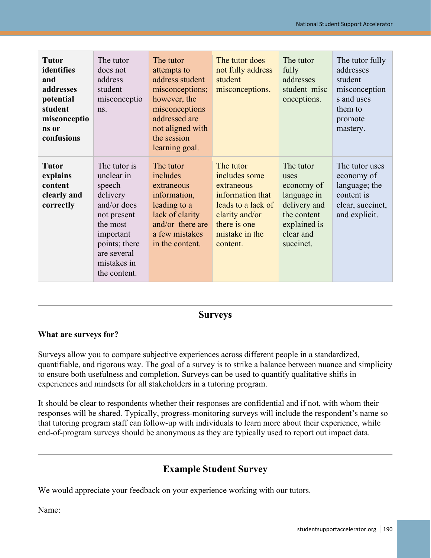| <b>Tutor</b><br>identifies<br>and<br>addresses<br>potential<br>student<br>misconceptio<br>ns or<br>confusions | The tutor<br>does not<br>address<br>student<br>misconceptio<br>ns.                                                                                                     | The tutor<br>attempts to<br>address student<br>misconceptions;<br>however, the<br>misconceptions<br>addressed are<br>not aligned with<br>the session<br>learning goal. | The tutor does<br>not fully address<br>student<br>misconceptions.                                                                                  | The tutor<br>fully<br>addresses<br>student misc<br>onceptions.                                                          | The tutor fully<br>addresses<br>student<br>misconception<br>s and uses<br>them to<br>promote<br>mastery. |
|---------------------------------------------------------------------------------------------------------------|------------------------------------------------------------------------------------------------------------------------------------------------------------------------|------------------------------------------------------------------------------------------------------------------------------------------------------------------------|----------------------------------------------------------------------------------------------------------------------------------------------------|-------------------------------------------------------------------------------------------------------------------------|----------------------------------------------------------------------------------------------------------|
| <b>Tutor</b><br>explains<br>content<br>clearly and<br>correctly                                               | The tutor is<br>unclear in<br>speech<br>delivery<br>and/or does<br>not present<br>the most<br>important<br>points; there<br>are several<br>mistakes in<br>the content. | The tutor<br>includes<br>extraneous<br>information,<br>leading to a<br>lack of clarity<br>and/or there are<br>a few mistakes<br>in the content.                        | The tutor<br>includes some<br>extraneous<br>information that<br>leads to a lack of<br>clarity and/or<br>there is one<br>mistake in the<br>content. | The tutor<br>uses<br>economy of<br>language in<br>delivery and<br>the content<br>explained is<br>clear and<br>succinct. | The tutor uses<br>economy of<br>language; the<br>content is<br>clear, succinct,<br>and explicit.         |

### **Surveys**

#### **What are surveys for?**

Surveys allow you to compare subjective experiences across different people in a standardized, quantifiable, and rigorous way. The goal of a survey is to strike a balance between nuance and simplicity to ensure both usefulness and completion. Surveys can be used to quantify qualitative shifts in experiences and mindsets for all stakeholders in a tutoring program.

It should be clear to respondents whether their responses are confidential and if not, with whom their responses will be shared. Typically, progress-monitoring surveys will include the respondent's name so that tutoring program staff can follow-up with individuals to learn more about their experience, while end-of-program surveys should be anonymous as they are typically used to report out impact data.

## **Example Student Survey**

We would appreciate your feedback on your experience working with our tutors.

Name: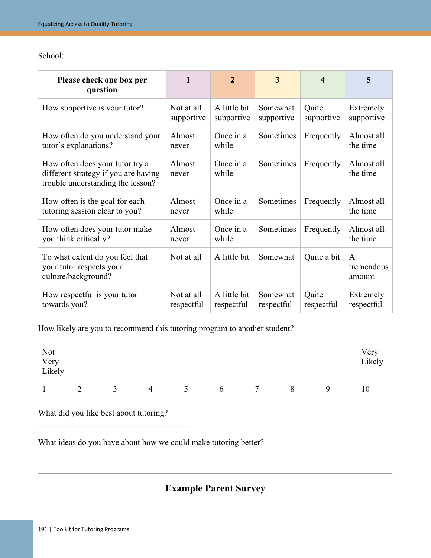School:

| Please check one box per<br>question                                                                         | 1                        | $\overline{2}$             | 3                      | 4                   | 5                         |
|--------------------------------------------------------------------------------------------------------------|--------------------------|----------------------------|------------------------|---------------------|---------------------------|
| How supportive is your tutor?                                                                                | Not at all<br>supportive | A little bit<br>supportive | Somewhat<br>supportive | Quite<br>supportive | Extremely<br>supportive   |
| How often do you understand your<br>tutor's explanations?                                                    | Almost<br>never          | Once in a<br>while         | Sometimes              | Frequently          | Almost all<br>the time    |
| How often does your tutor try a<br>different strategy if you are having<br>trouble understanding the lesson? | Almost<br>never          | Once in a<br>while         | Sometimes              | Frequently          | Almost all<br>the time    |
| How often is the goal for each<br>tutoring session clear to you?                                             | Almost<br>never          | Once in a<br>while         | Sometimes              | Frequently          | Almost all<br>the time    |
| How often does your tutor make<br>you think critically?                                                      | Almost<br>never          | Once in a<br>while         | Sometimes              | Frequently          | Almost all<br>the time    |
| To what extent do you feel that<br>your tutor respects your<br>culture/background?                           | Not at all               | A little bit               | Somewhat               | Quite a bit         | A<br>tremendous<br>amount |
| How respectful is your tutor<br>towards you?                                                                 | Not at all<br>respectful | A little bit<br>respectful | Somewhat<br>respectful | Quite<br>respectful | Extremely<br>respectful   |

How likely are you to recommend this tutoring program to another student?

| Not<br>Very<br>Likely |   |                |   |                |   |                 | Very<br>Likely |   |    |
|-----------------------|---|----------------|---|----------------|---|-----------------|----------------|---|----|
| $\mathbf{1}$          | 2 | $\overline{3}$ | 4 | 5 <sup>5</sup> | 6 | $7\phantom{.0}$ | 8              | 9 | 10 |

What did you like best about tutoring?

 $\mathcal{L}_\mathcal{L}$  , which is a set of the set of the set of the set of the set of the set of the set of the set of the set of the set of the set of the set of the set of the set of the set of the set of the set of the set of

 $\mathcal{L}_\mathcal{L}$  , which is a set of the set of the set of the set of the set of the set of the set of the set of the set of the set of the set of the set of the set of the set of the set of the set of the set of the set of

What ideas do you have about how we could make tutoring better?

## **Example Parent Survey**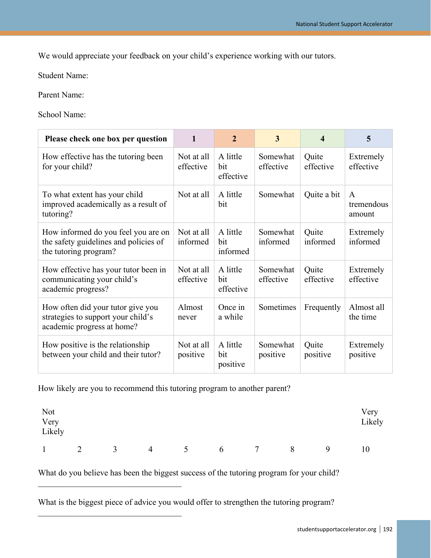We would appreciate your feedback on your child's experience working with our tutors.

Student Name:

Parent Name:

School Name:

| Please check one box per question                                                                     | $\mathbf{1}$            | $\overline{2}$               | 3                     | 4                  | 5                                    |
|-------------------------------------------------------------------------------------------------------|-------------------------|------------------------------|-----------------------|--------------------|--------------------------------------|
| How effective has the tutoring been<br>for your child?                                                | Not at all<br>effective | A little<br>bit<br>effective | Somewhat<br>effective | Quite<br>effective | Extremely<br>effective               |
| To what extent has your child<br>improved academically as a result of<br>tutoring?                    | Not at all              | A little<br>bit              | Somewhat              | Quite a bit        | $\mathsf{A}$<br>tremendous<br>amount |
| How informed do you feel you are on<br>the safety guidelines and policies of<br>the tutoring program? | Not at all<br>informed  | A little<br>bit<br>informed  | Somewhat<br>informed  | Quite<br>informed  | Extremely<br>informed                |
| How effective has your tutor been in<br>communicating your child's<br>academic progress?              | Not at all<br>effective | A little<br>bit<br>effective | Somewhat<br>effective | Quite<br>effective | Extremely<br>effective               |
| How often did your tutor give you<br>strategies to support your child's<br>academic progress at home? | Almost<br>never         | Once in<br>a while           | Sometimes             | Frequently         | Almost all<br>the time               |
| How positive is the relationship<br>between your child and their tutor?                               | Not at all<br>positive  | A little<br>bit<br>positive  | Somewhat<br>positive  | Quite<br>positive  | Extremely<br>positive                |

How likely are you to recommend this tutoring program to another parent?

 $\mathcal{L}_\mathcal{L}$ 

 $\mathcal{L}_\mathcal{L}$ 

| Not<br>Very<br>Likely |   |                    |                |   |   |        |   |   | Very<br>Likely |
|-----------------------|---|--------------------|----------------|---|---|--------|---|---|----------------|
| $\mathbf{1}$          | 2 | $\mathcal{R}$<br>ັ | $\overline{4}$ | 5 | 6 | $\tau$ | 8 | 9 | 10             |

What do you believe has been the biggest success of the tutoring program for your child?

What is the biggest piece of advice you would offer to strengthen the tutoring program?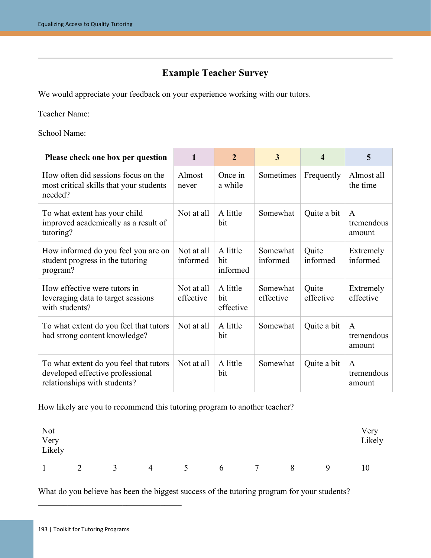## **Example Teacher Survey**

We would appreciate your feedback on your experience working with our tutors.

Teacher Name:

School Name:

| Please check one box per question                                                                          | 1                       | $\overline{2}$               | 3                     | 4                  | 5                                    |
|------------------------------------------------------------------------------------------------------------|-------------------------|------------------------------|-----------------------|--------------------|--------------------------------------|
| How often did sessions focus on the<br>most critical skills that your students<br>needed?                  | Almost<br>never         | Once in<br>a while           | Sometimes             | Frequently         | Almost all<br>the time               |
| To what extent has your child<br>improved academically as a result of<br>tutoring?                         | Not at all              | A little<br>bit              | Somewhat              | Quite a bit        | $\mathsf{A}$<br>tremendous<br>amount |
| How informed do you feel you are on<br>student progress in the tutoring<br>program?                        | Not at all<br>informed  | A little<br>bit<br>informed  | Somewhat<br>informed  | Quite<br>informed  | Extremely<br>informed                |
| How effective were tutors in<br>leveraging data to target sessions<br>with students?                       | Not at all<br>effective | A little<br>bit<br>effective | Somewhat<br>effective | Quite<br>effective | Extremely<br>effective               |
| To what extent do you feel that tutors<br>had strong content knowledge?                                    | Not at all              | A little<br>bit              | Somewhat              | Quite a bit        | $\mathsf{A}$<br>tremendous<br>amount |
| To what extent do you feel that tutors<br>developed effective professional<br>relationships with students? | Not at all              | A little<br>bit              | Somewhat              | Quite a bit        | $\mathsf{A}$<br>tremendous<br>amount |

How likely are you to recommend this tutoring program to another teacher?

| Not<br>Very<br>Likely |                |               |                |                |   |        |   |   | Very<br>Likely |
|-----------------------|----------------|---------------|----------------|----------------|---|--------|---|---|----------------|
| 1                     | $\overline{2}$ | $\mathcal{R}$ | $\overline{4}$ | 5 <sup>5</sup> | 6 | $\tau$ | 8 | 9 | 10             |

What do you believe has been the biggest success of the tutoring program for your students?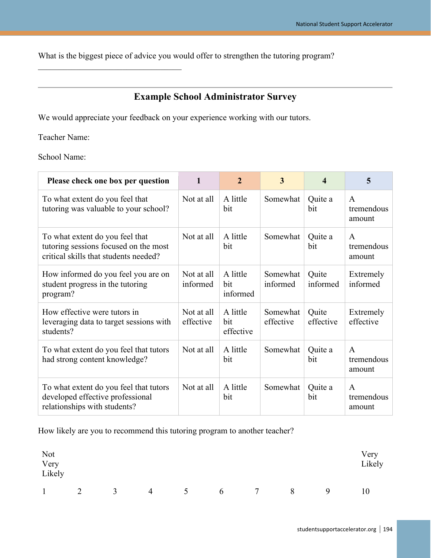What is the biggest piece of advice you would offer to strengthen the tutoring program?

## **Example School Administrator Survey**

We would appreciate your feedback on your experience working with our tutors.

Teacher Name:

 $\mathcal{L}_\mathcal{L}$ 

School Name:

| Please check one box per question                                                                                 | 1                       | $\overline{2}$               | $\overline{\mathbf{3}}$ | $\overline{\bf 4}$ | 5                                    |
|-------------------------------------------------------------------------------------------------------------------|-------------------------|------------------------------|-------------------------|--------------------|--------------------------------------|
| To what extent do you feel that<br>tutoring was valuable to your school?                                          | Not at all              | A little<br>bit              | Somewhat                | Quite a<br>bit     | A<br>tremendous<br>amount            |
| To what extent do you feel that<br>tutoring sessions focused on the most<br>critical skills that students needed? | Not at all              | A little<br>bit              | Somewhat                | Quite a<br>bit     | A<br>tremendous<br>amount            |
| How informed do you feel you are on<br>student progress in the tutoring<br>program?                               | Not at all<br>informed  | A little<br>bit<br>informed  | Somewhat<br>informed    | Quite<br>informed  | Extremely<br>informed                |
| How effective were tutors in<br>leveraging data to target sessions with<br>students?                              | Not at all<br>effective | A little<br>bit<br>effective | Somewhat<br>effective   | Quite<br>effective | Extremely<br>effective               |
| To what extent do you feel that tutors<br>had strong content knowledge?                                           | Not at all              | A little<br>bit              | Somewhat                | Quite a<br>bit     | $\mathsf{A}$<br>tremendous<br>amount |
| To what extent do you feel that tutors<br>developed effective professional<br>relationships with students?        | Not at all              | A little<br>bit              | Somewhat                | Quite a<br>bit     | A<br>tremendous<br>amount            |

How likely are you to recommend this tutoring program to another teacher?

| Not<br>Very<br>Likely |   |                |                |                 |   |        |   |   | Very<br>Likely |
|-----------------------|---|----------------|----------------|-----------------|---|--------|---|---|----------------|
| $\mathbf{1}$          | 2 | $\mathfrak{Z}$ | $\overline{4}$ | $5\overline{)}$ | 6 | $\tau$ | 8 | 9 | 10             |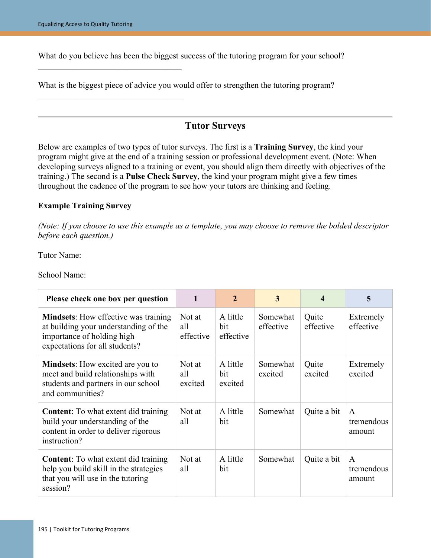$\mathcal{L}_\mathcal{L}$ 

What do you believe has been the biggest success of the tutoring program for your school?

What is the biggest piece of advice you would offer to strengthen the tutoring program?

## **Tutor Surveys**

Below are examples of two types of tutor surveys. The first is a **Training Survey**, the kind your program might give at the end of a training session or professional development event. (Note: When developing surveys aligned to a training or event, you should align them directly with objectives of the training.) The second is a **Pulse Check Survey**, the kind your program might give a few times throughout the cadence of the program to see how your tutors are thinking and feeling.

#### **Example Training Survey**

*(Note: If you choose to use this example as a template, you may choose to remove the bolded descriptor before each question.)*

Tutor Name:

School Name:

| Please check one box per question                                                                                                                    |                            | 2                            | 3                     | 4                  | 5                         |
|------------------------------------------------------------------------------------------------------------------------------------------------------|----------------------------|------------------------------|-----------------------|--------------------|---------------------------|
| <b>Mindsets:</b> How effective was training<br>at building your understanding of the<br>importance of holding high<br>expectations for all students? | Not at<br>all<br>effective | A little<br>bit<br>effective | Somewhat<br>effective | Quite<br>effective | Extremely<br>effective    |
| <b>Mindsets:</b> How excited are you to<br>meet and build relationships with<br>students and partners in our school<br>and communities?              | Not at<br>all<br>excited   | A little<br>bit<br>excited   | Somewhat<br>excited   | Quite<br>excited   | Extremely<br>excited      |
| <b>Content:</b> To what extent did training<br>build your understanding of the<br>content in order to deliver rigorous<br>instruction?               | Not at<br>all              | A little<br>bit              | Somewhat              | Quite a bit        | A<br>tremendous<br>amount |
| <b>Content:</b> To what extent did training<br>help you build skill in the strategies<br>that you will use in the tutoring<br>session?               | Not at<br>all              | A little<br>bit              | Somewhat              | Quite a bit        | A<br>tremendous<br>amount |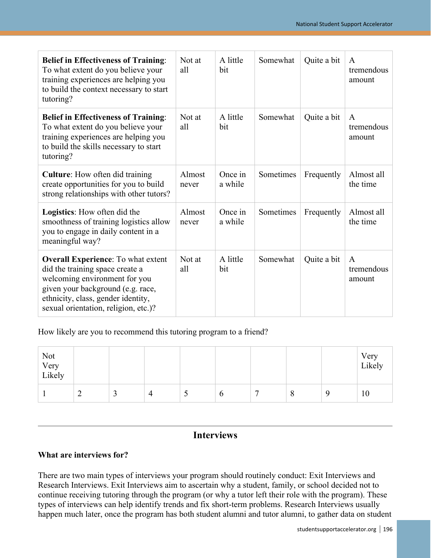| <b>Belief in Effectiveness of Training:</b><br>To what extent do you believe your<br>training experiences are helping you<br>to build the context necessary to start<br>tutoring?                                                | Not at<br>all   | A little<br>bit    | Somewhat  | Quite a bit | A<br>tremendous<br>amount            |
|----------------------------------------------------------------------------------------------------------------------------------------------------------------------------------------------------------------------------------|-----------------|--------------------|-----------|-------------|--------------------------------------|
| <b>Belief in Effectiveness of Training:</b><br>To what extent do you believe your<br>training experiences are helping you<br>to build the skills necessary to start<br>tutoring?                                                 | Not at<br>all   | A little<br>bit    | Somewhat  | Quite a bit | $\mathsf{A}$<br>tremendous<br>amount |
| <b>Culture:</b> How often did training<br>create opportunities for you to build<br>strong relationships with other tutors?                                                                                                       | Almost<br>never | Once in<br>a while | Sometimes | Frequently  | Almost all<br>the time               |
| <b>Logistics:</b> How often did the<br>smoothness of training logistics allow<br>you to engage in daily content in a<br>meaningful way?                                                                                          | Almost<br>never | Once in<br>a while | Sometimes | Frequently  | Almost all<br>the time               |
| <b>Overall Experience:</b> To what extent<br>did the training space create a<br>welcoming environment for you<br>given your background (e.g. race,<br>ethnicity, class, gender identity,<br>sexual orientation, religion, etc.)? | Not at<br>all   | A little<br>bit    | Somewhat  | Quite a bit | $\mathsf{A}$<br>tremendous<br>amount |

How likely are you to recommend this tutoring program to a friend?

| Not<br>Very<br>Likely |                 |   |   |   |             |                |         | Very<br>Likely |
|-----------------------|-----------------|---|---|---|-------------|----------------|---------|----------------|
|                       | $\sqrt{2}$<br>∽ | ◡ | 4 | ັ | $\mathbf o$ | $\overline{ }$ | $\circ$ | 10             |

## **Interviews**

#### **What are interviews for?**

There are two main types of interviews your program should routinely conduct: Exit Interviews and Research Interviews. Exit Interviews aim to ascertain why a student, family, or school decided not to continue receiving tutoring through the program (or why a tutor left their role with the program). These types of interviews can help identify trends and fix short-term problems. Research Interviews usually happen much later, once the program has both student alumni and tutor alumni, to gather data on student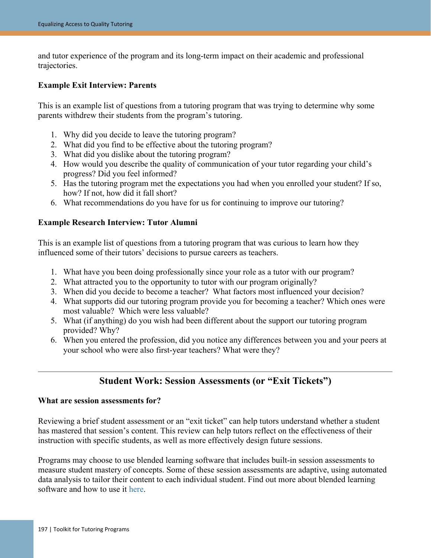and tutor experience of the program and its long-term impact on their academic and professional trajectories.

#### **Example Exit Interview: Parents**

This is an example list of questions from a tutoring program that was trying to determine why some parents withdrew their students from the program's tutoring.

- 1. Why did you decide to leave the tutoring program?
- 2. What did you find to be effective about the tutoring program?
- 3. What did you dislike about the tutoring program?
- 4. How would you describe the quality of communication of your tutor regarding your child's progress? Did you feel informed?
- 5. Has the tutoring program met the expectations you had when you enrolled your student? If so, how? If not, how did it fall short?
- 6. What recommendations do you have for us for continuing to improve our tutoring?

#### **Example Research Interview: Tutor Alumni**

This is an example list of questions from a tutoring program that was curious to learn how they influenced some of their tutors' decisions to pursue careers as teachers.

- 1. What have you been doing professionally since your role as a tutor with our program?
- 2. What attracted you to the opportunity to tutor with our program originally?
- 3. When did you decide to become a teacher? What factors most influenced your decision?
- 4. What supports did our tutoring program provide you for becoming a teacher? Which ones were most valuable? Which were less valuable?
- 5. What (if anything) do you wish had been different about the support our tutoring program provided? Why?
- 6. When you entered the profession, did you notice any differences between you and your peers at your school who were also first-year teachers? What were they?

## **Student Work: Session Assessments (or "Exit Tickets")**

#### **What are session assessments for?**

Reviewing a brief student assessment or an "exit ticket" can help tutors understand whether a student has mastered that session's content. This review can help tutors reflect on the effectiveness of their instruction with specific students, as well as more effectively design future sessions.

Programs may choose to use blended learning software that includes built-in session assessments to measure student mastery of concepts. Some of these session assessments are adaptive, using automated data analysis to tailor their content to each individual student. Find out more about blended learning software and how to use it [here.](https://studentsupportaccelerator.org/tutoring/instruction/session-content#tools)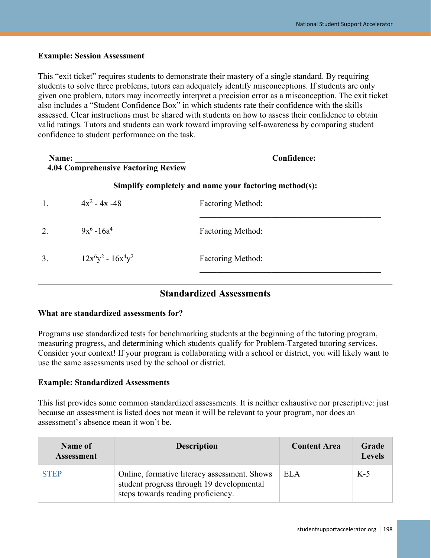#### **Example: Session Assessment**

This "exit ticket" requires students to demonstrate their mastery of a single standard. By requiring students to solve three problems, tutors can adequately identify misconceptions. If students are only given one problem, tutors may incorrectly interpret a precision error as a misconception. The exit ticket also includes a "Student Confidence Box" in which students rate their confidence with the skills assessed. Clear instructions must be shared with students on how to assess their confidence to obtain valid ratings. Tutors and students can work toward improving self-awareness by comparing student confidence to student performance on the task.

| Name:<br><b>4.04 Comprehensive Factoring Review</b> |                       | <b>Confidence:</b>                                     |
|-----------------------------------------------------|-----------------------|--------------------------------------------------------|
|                                                     |                       | Simplify completely and name your factoring method(s): |
| 1.                                                  | $4x^2 - 4x - 48$      | <b>Factoring Method:</b>                               |
| 2.                                                  | $9x^6 - 16a^4$        | <b>Factoring Method:</b>                               |
| 3.                                                  | $12x^6y^2 - 16x^4y^2$ | <b>Factoring Method:</b>                               |

## **Standardized Assessments**

#### **What are standardized assessments for?**

Programs use standardized tests for benchmarking students at the beginning of the tutoring program, measuring progress, and determining which students qualify for Problem-Targeted tutoring services. Consider your context! If your program is collaborating with a school or district, you will likely want to use the same assessments used by the school or district.

#### **Example: Standardized Assessments**

This list provides some common standardized assessments. It is neither exhaustive nor prescriptive: just because an assessment is listed does not mean it will be relevant to your program, nor does an assessment's absence mean it won't be.

| Name of<br><b>Assessment</b> | <b>Description</b>                                                                                                              | <b>Content Area</b> | Grade<br><b>Levels</b> |
|------------------------------|---------------------------------------------------------------------------------------------------------------------------------|---------------------|------------------------|
| <b>STEP</b>                  | Online, formative literacy assessment. Shows<br>student progress through 19 developmental<br>steps towards reading proficiency. | <b>ELA</b>          | $K-5$                  |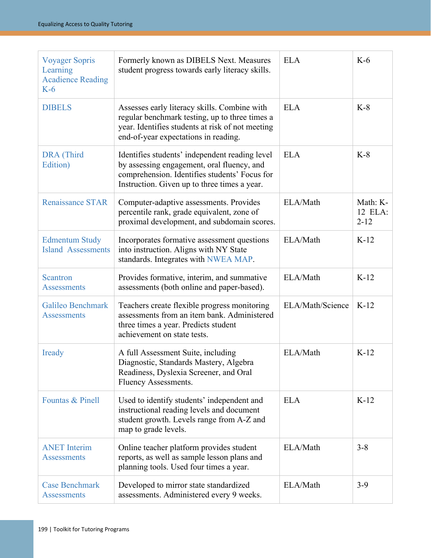| <b>Voyager Sopris</b><br>Learning<br><b>Acadience Reading</b><br>$K-6$ | Formerly known as DIBELS Next. Measures<br>student progress towards early literacy skills.                                                                                                    | <b>ELA</b>       | $K-6$                           |
|------------------------------------------------------------------------|-----------------------------------------------------------------------------------------------------------------------------------------------------------------------------------------------|------------------|---------------------------------|
| <b>DIBELS</b>                                                          | Assesses early literacy skills. Combine with<br>regular benchmark testing, up to three times a<br>year. Identifies students at risk of not meeting<br>end-of-year expectations in reading.    | <b>ELA</b>       | $K-8$                           |
| DRA (Third<br>Edition)                                                 | Identifies students' independent reading level<br>by assessing engagement, oral fluency, and<br>comprehension. Identifies students' Focus for<br>Instruction. Given up to three times a year. | <b>ELA</b>       | $K-8$                           |
| <b>Renaissance STAR</b>                                                | Computer-adaptive assessments. Provides<br>percentile rank, grade equivalent, zone of<br>proximal development, and subdomain scores.                                                          | ELA/Math         | Math: K-<br>12 ELA:<br>$2 - 12$ |
| <b>Edmentum Study</b><br><b>Island Assessments</b>                     | Incorporates formative assessment questions<br>into instruction. Aligns with NY State<br>standards. Integrates with NWEA MAP.                                                                 | ELA/Math         | $K-12$                          |
| <b>Scantron</b><br><b>Assessments</b>                                  | Provides formative, interim, and summative<br>assessments (both online and paper-based).                                                                                                      | ELA/Math         | $K-12$                          |
| Galileo Benchmark<br><b>Assessments</b>                                | Teachers create flexible progress monitoring<br>assessments from an item bank. Administered<br>three times a year. Predicts student<br>achievement on state tests.                            | ELA/Math/Science | $K-12$                          |
| Iready                                                                 | A full Assessment Suite, including<br>Diagnostic, Standards Mastery, Algebra<br>Readiness, Dyslexia Screener, and Oral<br>Fluency Assessments.                                                | ELA/Math         | $K-12$                          |
| Fountas & Pinell                                                       | Used to identify students' independent and<br>instructional reading levels and document<br>student growth. Levels range from A-Z and<br>map to grade levels.                                  | <b>ELA</b>       | $K-12$                          |
| <b>ANET</b> Interim<br><b>Assessments</b>                              | Online teacher platform provides student<br>reports, as well as sample lesson plans and<br>planning tools. Used four times a year.                                                            | ELA/Math         | $3 - 8$                         |
| <b>Case Benchmark</b><br><b>Assessments</b>                            | Developed to mirror state standardized<br>assessments. Administered every 9 weeks.                                                                                                            | ELA/Math         | $3-9$                           |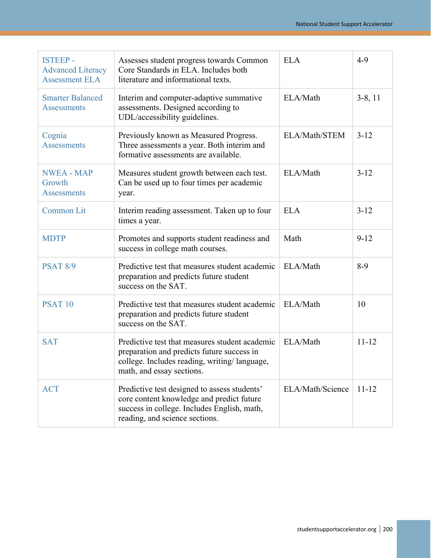| <b>ISTEEP-</b><br><b>Advanced Literacy</b><br><b>Assessment ELA</b> | Assesses student progress towards Common<br>Core Standards in ELA. Includes both<br>literature and informational texts.                                                    | <b>ELA</b>       | $4 - 9$   |
|---------------------------------------------------------------------|----------------------------------------------------------------------------------------------------------------------------------------------------------------------------|------------------|-----------|
| <b>Smarter Balanced</b><br><b>Assessments</b>                       | Interim and computer-adaptive summative<br>assessments. Designed according to<br>UDL/accessibility guidelines.                                                             | ELA/Math         | $3-8, 11$ |
| Cognia<br><b>Assessments</b>                                        | Previously known as Measured Progress.<br>Three assessments a year. Both interim and<br>formative assessments are available.                                               | ELA/Math/STEM    | $3 - 12$  |
| <b>NWEA - MAP</b><br>Growth<br><b>Assessments</b>                   | Measures student growth between each test.<br>Can be used up to four times per academic<br>year.                                                                           | ELA/Math         | $3 - 12$  |
| <b>Common Lit</b>                                                   | Interim reading assessment. Taken up to four<br>times a year.                                                                                                              | <b>ELA</b>       | $3 - 12$  |
| <b>MDTP</b>                                                         | Promotes and supports student readiness and<br>success in college math courses.                                                                                            | Math             | $9 - 12$  |
| <b>PSAT 8/9</b>                                                     | Predictive test that measures student academic<br>preparation and predicts future student<br>success on the SAT.                                                           | ELA/Math         | $8-9$     |
| <b>PSAT 10</b>                                                      | Predictive test that measures student academic<br>preparation and predicts future student<br>success on the SAT.                                                           | ELA/Math         | 10        |
| <b>SAT</b>                                                          | Predictive test that measures student academic<br>preparation and predicts future success in<br>college. Includes reading, writing/language,<br>math, and essay sections.  | ELA/Math         | $11 - 12$ |
| <b>ACT</b>                                                          | Predictive test designed to assess students'<br>core content knowledge and predict future<br>success in college. Includes English, math,<br>reading, and science sections. | ELA/Math/Science | $11 - 12$ |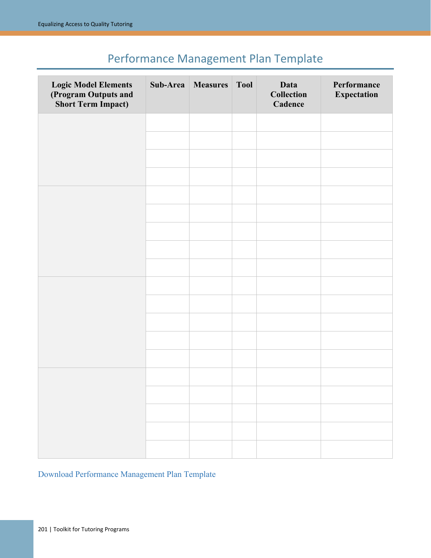# Performance Management Plan Template

<span id="page-22-0"></span>

| <b>Logic Model Elements</b><br>(Program Outputs and<br><b>Short Term Impact)</b> | Sub-Area   Measures | <b>Tool</b> | Data<br><b>Collection</b><br>Cadence | Performance<br><b>Expectation</b> |
|----------------------------------------------------------------------------------|---------------------|-------------|--------------------------------------|-----------------------------------|
|                                                                                  |                     |             |                                      |                                   |
|                                                                                  |                     |             |                                      |                                   |
|                                                                                  |                     |             |                                      |                                   |
|                                                                                  |                     |             |                                      |                                   |
|                                                                                  |                     |             |                                      |                                   |
|                                                                                  |                     |             |                                      |                                   |
|                                                                                  |                     |             |                                      |                                   |
|                                                                                  |                     |             |                                      |                                   |
|                                                                                  |                     |             |                                      |                                   |
|                                                                                  |                     |             |                                      |                                   |
|                                                                                  |                     |             |                                      |                                   |
|                                                                                  |                     |             |                                      |                                   |
|                                                                                  |                     |             |                                      |                                   |
|                                                                                  |                     |             |                                      |                                   |
|                                                                                  |                     |             |                                      |                                   |
|                                                                                  |                     |             |                                      |                                   |
|                                                                                  |                     |             |                                      |                                   |
|                                                                                  |                     |             |                                      |                                   |
|                                                                                  |                     |             |                                      |                                   |

[Download Performance Management Plan Template](https://studentsupportaccelerator.org/sites/default/files/Performance%20Measurement%20Plan%20Template%20-%20Template_0.pdf)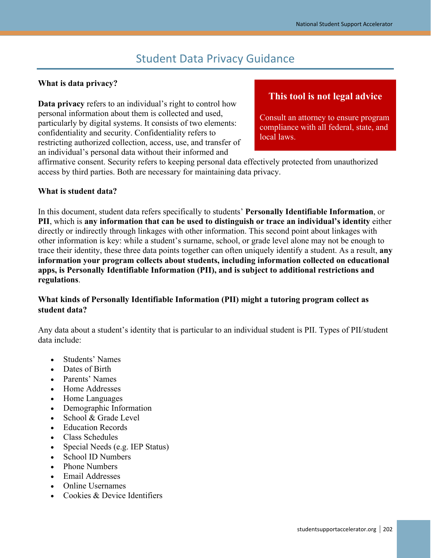## Student Data Privacy Guidance

#### <span id="page-23-0"></span>**What is data privacy?**

**Data privacy** refers to an individual's right to control how personal information about them is collected and used, particularly by digital systems. It consists of two elements: confidentiality and security. Confidentiality refers to restricting authorized collection, access, use, and transfer of an individual's personal data without their informed and

## **This tool is not legal advice**

Consult an attorney to ensure program compliance with all federal, state, and local laws.

affirmative consent. Security refers to keeping personal data effectively protected from unauthorized access by third parties. Both are necessary for maintaining data privacy.

#### **What is student data?**

In this document, student data refers specifically to students' **Personally Identifiable Information**, or **PII**, which is **any information that can be used to distinguish or trace an individual's identity** either directly or indirectly through linkages with other information. This second point about linkages with other information is key: while a student's surname, school, or grade level alone may not be enough to trace their identity, these three data points together can often uniquely identify a student. As a result, **any information your program collects about students, including information collected on educational apps, is Personally Identifiable Information (PII), and is subject to additional restrictions and regulations**.

#### **What kinds of Personally Identifiable Information (PII) might a tutoring program collect as student data?**

Any data about a student's identity that is particular to an individual student is PII. Types of PII/student data include:

- Students' Names
- Dates of Birth
- Parents' Names
- Home Addresses
- Home Languages
- Demographic Information
- School & Grade Level
- Education Records
- Class Schedules
- Special Needs (e.g. IEP Status)
- School ID Numbers
- Phone Numbers
- Email Addresses
- Online Usernames
- Cookies & Device Identifiers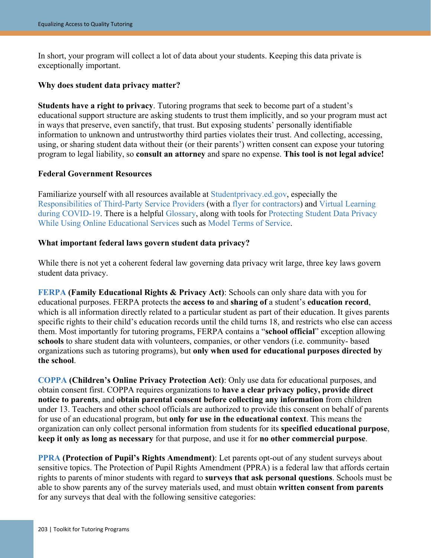In short, your program will collect a lot of data about your students. Keeping this data private is exceptionally important.

#### **Why does student data privacy matter?**

**Students have a right to privacy**. Tutoring programs that seek to become part of a student's educational support structure are asking students to trust them implicitly, and so your program must act in ways that preserve, even sanctify, that trust. But exposing students' personally identifiable information to unknown and untrustworthy third parties violates their trust. And collecting, accessing, using, or sharing student data without their (or their parents') written consent can expose your tutoring program to legal liability, so **consult an attorney** and spare no expense. **This tool is not legal advice!**

#### **Federal Government Resources**

Familiarize yourself with all resources available at [Studentprivacy.ed.gov,](https://studentprivacy.ed.gov/) especially the [Responsibilities of Third-Party](https://studentprivacy.ed.gov/resources/responsibilities-third-party-service-providers-under-ferpa) Service Providers (with a [flyer for contractors\)](https://studentprivacy.ed.gov/resources/contractor-responsibilities-under-ferpa-tri-fold) and [Virtual Learning](https://studentprivacy.ed.gov/resources/ferpa-and-virtual-learning-during-covid-19)  [during COVID-19.](https://studentprivacy.ed.gov/resources/ferpa-and-virtual-learning-during-covid-19) There is a helpful [Glossary,](https://studentprivacy.ed.gov/glossary#glossary-node-210) along with tools for [Protecting Student Data Privacy](https://studentprivacy.ed.gov/resources/protecting-student-privacy-while-using-online-educational-services-requirements-and-best)  [While Using Online Educational Services](https://studentprivacy.ed.gov/resources/protecting-student-privacy-while-using-online-educational-services-requirements-and-best) such as [Model Terms of Service.](https://studentprivacy.ed.gov/resources/protecting-student-privacy-while-using-online-educational-services-model-terms-service)

#### **What important federal laws govern student data privacy?**

While there is not yet a coherent federal law governing data privacy writ large, three key laws govern student data privacy.

**[FERPA](https://studentprivacy.ed.gov/node/548/) (Family Educational Rights & Privacy Act)**: Schools can only share data with you for educational purposes. FERPA protects the **access to** and **sharing of** a student's **education record**, which is all information directly related to a particular student as part of their education. It gives parents specific rights to their child's education records until the child turns 18, and restricts who else can access them. Most importantly for tutoring programs, FERPA contains a "**school official**" exception allowing **schools** to share student data with volunteers, companies, or other vendors (i.e. community- based organizations such as tutoring programs), but **only when used for educational purposes directed by the school**.

**[COPPA](https://www.ftc.gov/tips-advice/business-center/guidance/complying-coppa-frequently-asked-questions-0) (Children's Online Privacy Protection Act)**: Only use data for educational purposes, and obtain consent first. COPPA requires organizations to **have a clear privacy policy, provide direct notice to parents**, and **obtain parental consent before collecting any information** from children under 13. Teachers and other school officials are authorized to provide this consent on behalf of parents for use of an educational program, but **only for use in the educational context**. This means the organization can only collect personal information from students for its **specified educational purpose**, **keep it only as long as necessary** for that purpose, and use it for **no other commercial purpose**.

**[PPRA](https://studentprivacy.ed.gov/content/ppra) (Protection of Pupil's Rights Amendment)**: Let parents opt-out of any student surveys about sensitive topics. The Protection of Pupil Rights Amendment (PPRA) is a federal law that affords certain rights to parents of minor students with regard to **surveys that ask personal questions**. Schools must be able to show parents any of the survey materials used, and must obtain **written consent from parents** for any surveys that deal with the following sensitive categories: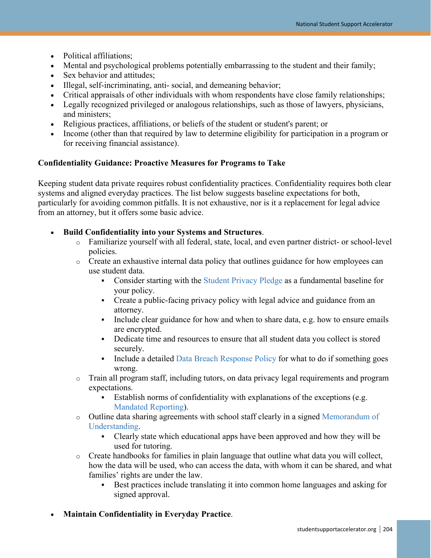- Political affiliations;
- Mental and psychological problems potentially embarrassing to the student and their family;
- Sex behavior and attitudes:
- Illegal, self-incriminating, anti- social, and demeaning behavior;
- Critical appraisals of other individuals with whom respondents have close family relationships;
- Legally recognized privileged or analogous relationships, such as those of lawyers, physicians, and ministers;
- Religious practices, affiliations, or beliefs of the student or student's parent; or
- Income (other than that required by law to determine eligibility for participation in a program or for receiving financial assistance).

#### **Confidentiality Guidance: Proactive Measures for Programs to Take**

Keeping student data private requires robust confidentiality practices. Confidentiality requires both clear systems and aligned everyday practices. The list below suggests baseline expectations for both, particularly for avoiding common pitfalls. It is not exhaustive, nor is it a replacement for legal advice from an attorney, but it offers some basic advice.

- **Build Confidentiality into your Systems and Structures**.
	- o Familiarize yourself with all federal, state, local, and even partner district- or school-level policies.
	- o Create an exhaustive internal data policy that outlines guidance for how employees can use student data.
		- Consider starting with the [Student Privacy Pledge](https://studentprivacypledge.org/privacy-pledge/) as a fundamental baseline for your policy.
		- Create a public-facing privacy policy with legal advice and guidance from an attorney.
		- Include clear guidance for how and when to share data, e.g. how to ensure emails are encrypted.
		- Dedicate time and resources to ensure that all student data you collect is stored securely.
		- Include a detailed [Data Breach Response Policy](https://studentprivacy.ed.gov/resources/data-breach-response-checklist) for what to do if something goes wrong.
	- o Train all program staff, including tutors, on data privacy legal requirements and program expectations.
		- Establish norms of confidentiality with explanations of the exceptions (e.g. [Mandated Reporting\)](https://studentsupportaccelerator.org/tutoring/tutors/screening-expectations#tools).
	- o Outline data sharing agreements with school staff clearly in a signed [Memorandum of](https://studentsupportaccelerator.org/tutoring/learning-integration/stakeholder-engagement#tools)  [Understanding.](https://studentsupportaccelerator.org/tutoring/learning-integration/stakeholder-engagement#tools)
		- Clearly state which educational apps have been approved and how they will be used for tutoring.
	- $\circ$  Create handbooks for families in plain language that outline what data you will collect, how the data will be used, who can access the data, with whom it can be shared, and what families' rights are under the law.
		- Best practices include translating it into common home languages and asking for signed approval.

#### • **Maintain Confidentiality in Everyday Practice**.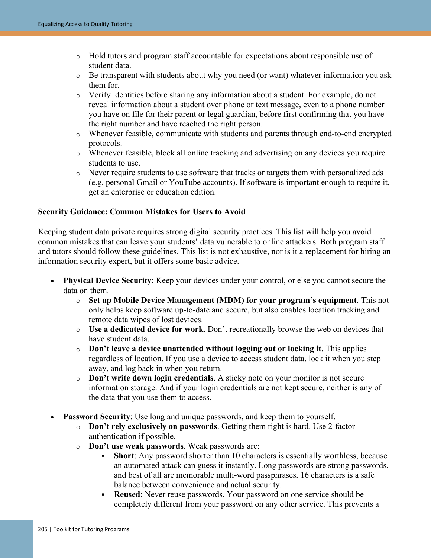- o Hold tutors and program staff accountable for expectations about responsible use of student data.
- o Be transparent with students about why you need (or want) whatever information you ask them for.
- o Verify identities before sharing any information about a student. For example, do not reveal information about a student over phone or text message, even to a phone number you have on file for their parent or legal guardian, before first confirming that you have the right number and have reached the right person.
- o Whenever feasible, communicate with students and parents through end-to-end encrypted protocols.
- o Whenever feasible, block all online tracking and advertising on any devices you require students to use.
- o Never require students to use software that tracks or targets them with personalized ads (e.g. personal Gmail or YouTube accounts). If software is important enough to require it, get an enterprise or education edition.

#### **Security Guidance: Common Mistakes for Users to Avoid**

Keeping student data private requires strong digital security practices. This list will help you avoid common mistakes that can leave your students' data vulnerable to online attackers. Both program staff and tutors should follow these guidelines. This list is not exhaustive, nor is it a replacement for hiring an information security expert, but it offers some basic advice.

- **Physical Device Security:** Keep your devices under your control, or else you cannot secure the data on them.
	- o **Set up Mobile Device Management (MDM) for your program's equipment**. This not only helps keep software up-to-date and secure, but also enables location tracking and remote data wipes of lost devices.
	- o **Use a dedicated device for work**. Don't recreationally browse the web on devices that have student data.
	- o **Don't leave a device unattended without logging out or locking it**. This applies regardless of location. If you use a device to access student data, lock it when you step away, and log back in when you return.
	- o **Don't write down login credentials**. A sticky note on your monitor is not secure information storage. And if your login credentials are not kept secure, neither is any of the data that you use them to access.
- **Password Security**: Use long and unique passwords, and keep them to yourself.
	- o **Don't rely exclusively on passwords**. Getting them right is hard. Use 2-factor authentication if possible.
	- o **Don't use weak passwords**. Weak passwords are:
		- **Short**: Any password shorter than 10 characters is essentially worthless, because an automated attack can guess it instantly. Long passwords are strong passwords, and best of all are memorable multi-word passphrases. 16 characters is a safe balance between convenience and actual security.
		- **Reused**: Never reuse passwords. Your password on one service should be completely different from your password on any other service. This prevents a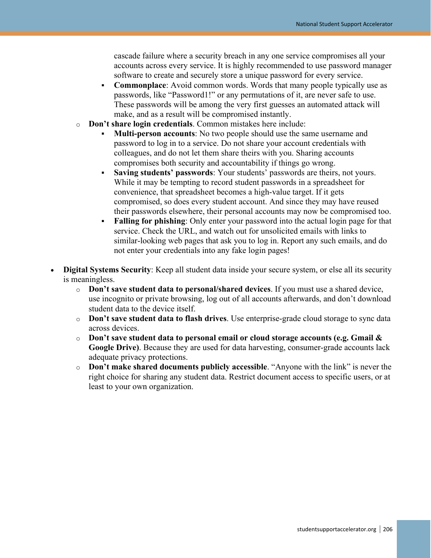cascade failure where a security breach in any one service compromises all your accounts across every service. It is highly recommended to use password manager software to create and securely store a unique password for every service.

- **Commonplace:** Avoid common words. Words that many people typically use as passwords, like "Password1!" or any permutations of it, are never safe to use. These passwords will be among the very first guesses an automated attack will make, and as a result will be compromised instantly.
- o **Don't share login credentials**. Common mistakes here include:
	- **Multi-person accounts**: No two people should use the same username and password to log in to a service. Do not share your account credentials with colleagues, and do not let them share theirs with you. Sharing accounts compromises both security and accountability if things go wrong.
	- **Saving students' passwords**: Your students' passwords are theirs, not yours. While it may be tempting to record student passwords in a spreadsheet for convenience, that spreadsheet becomes a high-value target. If it gets compromised, so does every student account. And since they may have reused their passwords elsewhere, their personal accounts may now be compromised too.
	- **Falling for phishing**: Only enter your password into the actual login page for that service. Check the URL, and watch out for unsolicited emails with links to similar-looking web pages that ask you to log in. Report any such emails, and do not enter your credentials into any fake login pages!
- **Digital Systems Security**: Keep all student data inside your secure system, or else all its security is meaningless.
	- o **Don't save student data to personal/shared devices**. If you must use a shared device, use incognito or private browsing, log out of all accounts afterwards, and don't download student data to the device itself.
	- o **Don't save student data to flash drives**. Use enterprise-grade cloud storage to sync data across devices.
	- o **Don't save student data to personal email or cloud storage accounts (e.g. Gmail & Google Drive)**. Because they are used for data harvesting, consumer-grade accounts lack adequate privacy protections.
	- o **Don't make shared documents publicly accessible**. "Anyone with the link" is never the right choice for sharing any student data. Restrict document access to specific users, or at least to your own organization.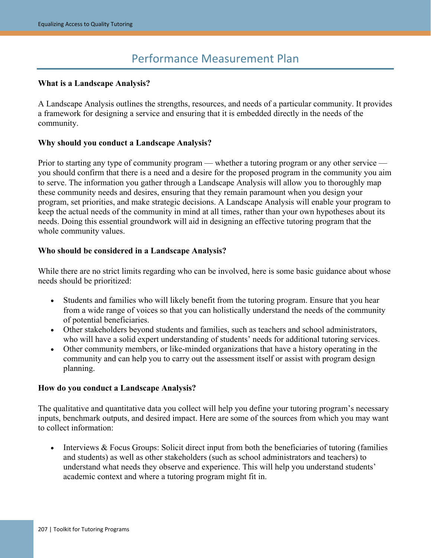## Performance Measurement Plan

#### **What is a Landscape Analysis?**

A Landscape Analysis outlines the strengths, resources, and needs of a particular community. It provides a framework for designing a service and ensuring that it is embedded directly in the needs of the community.

#### **Why should you conduct a Landscape Analysis?**

Prior to starting any type of community program — whether a tutoring program or any other service you should confirm that there is a need and a desire for the proposed program in the community you aim to serve. The information you gather through a Landscape Analysis will allow you to thoroughly map these community needs and desires, ensuring that they remain paramount when you design your program, set priorities, and make strategic decisions. A Landscape Analysis will enable your program to keep the actual needs of the community in mind at all times, rather than your own hypotheses about its needs. Doing this essential groundwork will aid in designing an effective tutoring program that the whole community values.

#### **Who should be considered in a Landscape Analysis?**

While there are no strict limits regarding who can be involved, here is some basic guidance about whose needs should be prioritized:

- Students and families who will likely benefit from the tutoring program. Ensure that you hear from a wide range of voices so that you can holistically understand the needs of the community of potential beneficiaries.
- Other stakeholders beyond students and families, such as teachers and school administrators, who will have a solid expert understanding of students' needs for additional tutoring services.
- Other community members, or like-minded organizations that have a history operating in the community and can help you to carry out the assessment itself or assist with program design planning.

#### **How do you conduct a Landscape Analysis?**

The qualitative and quantitative data you collect will help you define your tutoring program's necessary inputs, benchmark outputs, and desired impact. Here are some of the sources from which you may want to collect information:

• Interviews & Focus Groups: Solicit direct input from both the beneficiaries of tutoring (families and students) as well as other stakeholders (such as school administrators and teachers) to understand what needs they observe and experience. This will help you understand students' academic context and where a tutoring program might fit in.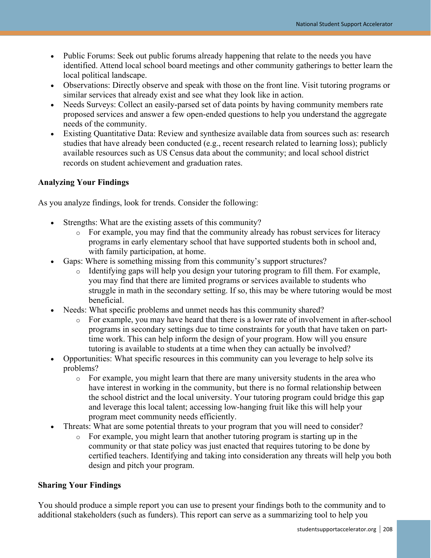- Public Forums: Seek out public forums already happening that relate to the needs you have identified. Attend local school board meetings and other community gatherings to better learn the local political landscape.
- Observations: Directly observe and speak with those on the front line. Visit tutoring programs or similar services that already exist and see what they look like in action.
- Needs Surveys: Collect an easily-parsed set of data points by having community members rate proposed services and answer a few open-ended questions to help you understand the aggregate needs of the community.
- Existing Quantitative Data: Review and synthesize available data from sources such as: research studies that have already been conducted (e.g., recent research related to learning loss); publicly available resources such as US Census data about the community; and local school district records on student achievement and graduation rates.

#### **Analyzing Your Findings**

As you analyze findings, look for trends. Consider the following:

- Strengths: What are the existing assets of this community?
	- o For example, you may find that the community already has robust services for literacy programs in early elementary school that have supported students both in school and, with family participation, at home.
- Gaps: Where is something missing from this community's support structures?
	- o Identifying gaps will help you design your tutoring program to fill them. For example, you may find that there are limited programs or services available to students who struggle in math in the secondary setting. If so, this may be where tutoring would be most beneficial.
- Needs: What specific problems and unmet needs has this community shared?
	- o For example, you may have heard that there is a lower rate of involvement in after-school programs in secondary settings due to time constraints for youth that have taken on parttime work. This can help inform the design of your program. How will you ensure tutoring is available to students at a time when they can actually be involved?
- Opportunities: What specific resources in this community can you leverage to help solve its problems?
	- o For example, you might learn that there are many university students in the area who have interest in working in the community, but there is no formal relationship between the school district and the local university. Your tutoring program could bridge this gap and leverage this local talent; accessing low-hanging fruit like this will help your program meet community needs efficiently.
- Threats: What are some potential threats to your program that you will need to consider?
	- o For example, you might learn that another tutoring program is starting up in the community or that state policy was just enacted that requires tutoring to be done by certified teachers. Identifying and taking into consideration any threats will help you both design and pitch your program.

#### **Sharing Your Findings**

You should produce a simple report you can use to present your findings both to the community and to additional stakeholders (such as funders). This report can serve as a summarizing tool to help you